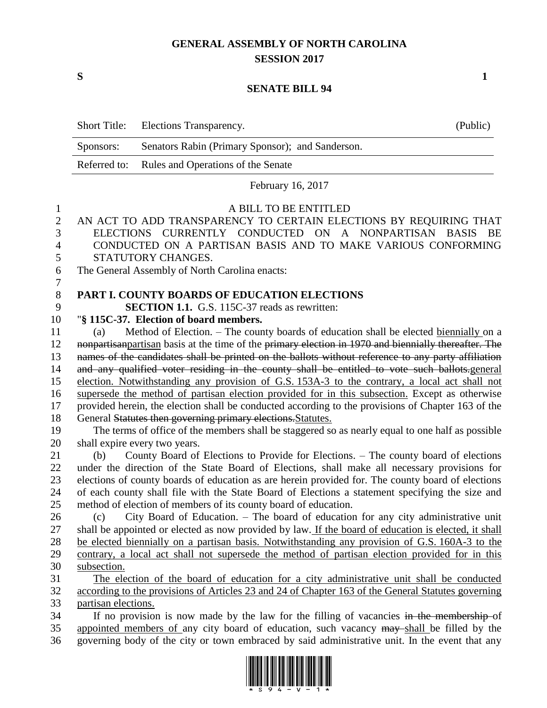# **GENERAL ASSEMBLY OF NORTH CAROLINA SESSION 2017**

**S 1**

#### **SENATE BILL 94**

| Senators Rabin (Primary Sponsor); and Sanderson.<br>Sponsors:                                                                                                                                              |    |
|------------------------------------------------------------------------------------------------------------------------------------------------------------------------------------------------------------|----|
| Referred to:<br>Rules and Operations of the Senate                                                                                                                                                         |    |
| February 16, 2017                                                                                                                                                                                          |    |
| A BILL TO BE ENTITLED<br>$\mathbf{1}$                                                                                                                                                                      |    |
| $\overline{2}$<br>AN ACT TO ADD TRANSPARENCY TO CERTAIN ELECTIONS BY REQUIRING THAT                                                                                                                        |    |
| 3<br>ELECTIONS CURRENTLY CONDUCTED ON A NONPARTISAN BASIS                                                                                                                                                  | BE |
| CONDUCTED ON A PARTISAN BASIS AND TO MAKE VARIOUS CONFORMING<br>$\overline{4}$                                                                                                                             |    |
| 5<br>STATUTORY CHANGES.                                                                                                                                                                                    |    |
| 6<br>The General Assembly of North Carolina enacts:                                                                                                                                                        |    |
| $\tau$                                                                                                                                                                                                     |    |
| $\,8\,$<br><b>PART I. COUNTY BOARDS OF EDUCATION ELECTIONS</b>                                                                                                                                             |    |
| 9<br><b>SECTION 1.1.</b> G.S. 115C-37 reads as rewritten:                                                                                                                                                  |    |
| 10<br>"§ 115C-37. Election of board members.                                                                                                                                                               |    |
| Method of Election. – The county boards of education shall be elected biennially on a<br>11<br>(a)                                                                                                         |    |
| 12<br>nonpartisanpartisan basis at the time of the primary election in 1970 and biennially thereafter. The                                                                                                 |    |
| names of the candidates shall be printed on the ballots without reference to any party affiliation<br>13                                                                                                   |    |
| 14<br>and any qualified voter residing in the county shall be entitled to vote such ballots.general                                                                                                        |    |
| 15<br>election. Notwithstanding any provision of G.S. 153A-3 to the contrary, a local act shall not                                                                                                        |    |
| supersede the method of partisan election provided for in this subsection. Except as otherwise<br>16                                                                                                       |    |
| provided herein, the election shall be conducted according to the provisions of Chapter 163 of the<br>17                                                                                                   |    |
| 18<br>General Statutes then governing primary elections. Statutes.                                                                                                                                         |    |
| 19<br>The terms of office of the members shall be staggered so as nearly equal to one half as possible                                                                                                     |    |
| 20<br>shall expire every two years.                                                                                                                                                                        |    |
| County Board of Elections to Provide for Elections. – The county board of elections<br>21<br>(b)                                                                                                           |    |
| 22<br>under the direction of the State Board of Elections, shall make all necessary provisions for                                                                                                         |    |
| 23<br>elections of county boards of education as are herein provided for. The county board of elections                                                                                                    |    |
| 24<br>of each county shall file with the State Board of Elections a statement specifying the size and                                                                                                      |    |
| 25<br>method of election of members of its county board of education.                                                                                                                                      |    |
| (c) City Board of Education. – The board of education for any city administrative unit<br>26                                                                                                               |    |
| shall be appointed or elected as now provided by law. If the board of education is elected, it shall<br>27                                                                                                 |    |
| 28<br>be elected biennially on a partisan basis. Notwithstanding any provision of G.S. 160A-3 to the                                                                                                       |    |
| 29<br>contrary, a local act shall not supersede the method of partisan election provided for in this                                                                                                       |    |
| 30<br>subsection.                                                                                                                                                                                          |    |
| 31<br>The election of the board of education for a city administrative unit shall be conducted<br>according to the provisions of Articles 23 and 24 of Chapter 163 of the General Statutes governing<br>32 |    |
| 33                                                                                                                                                                                                         |    |
| partisan elections.<br>34<br>If no provision is now made by the law for the filling of vacancies in the membership-of                                                                                      |    |
| 35<br>appointed members of any city board of education, such vacancy may shall be filled by the                                                                                                            |    |
| 36<br>governing body of the city or town embraced by said administrative unit. In the event that any                                                                                                       |    |

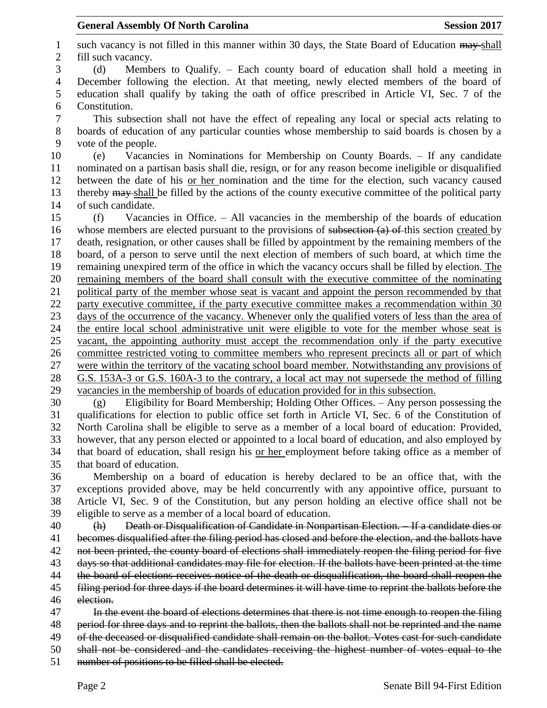1 such vacancy is not filled in this manner within 30 days, the State Board of Education  $\frac{m}{m}$ -shall fill such vacancy. (d) Members to Qualify. – Each county board of education shall hold a meeting in December following the election. At that meeting, newly elected members of the board of education shall qualify by taking the oath of office prescribed in Article VI, Sec. 7 of the Constitution. This subsection shall not have the effect of repealing any local or special acts relating to boards of education of any particular counties whose membership to said boards is chosen by a vote of the people. (e) Vacancies in Nominations for Membership on County Boards. – If any candidate nominated on a partisan basis shall die, resign, or for any reason become ineligible or disqualified between the date of his or her nomination and the time for the election, such vacancy caused 13 thereby may shall be filled by the actions of the county executive committee of the political party of such candidate. (f) Vacancies in Office. – All vacancies in the membership of the boards of education 16 whose members are elected pursuant to the provisions of subsection (a) of this section created by death, resignation, or other causes shall be filled by appointment by the remaining members of the board, of a person to serve until the next election of members of such board, at which time the remaining unexpired term of the office in which the vacancy occurs shall be filled by election. The remaining members of the board shall consult with the executive committee of the nominating political party of the member whose seat is vacant and appoint the person recommended by that party executive committee, if the party executive committee makes a recommendation within 30 days of the occurrence of the vacancy. Whenever only the qualified voters of less than the area of the entire local school administrative unit were eligible to vote for the member whose seat is vacant, the appointing authority must accept the recommendation only if the party executive committee restricted voting to committee members who represent precincts all or part of which were within the territory of the vacating school board member. Notwithstanding any provisions of G.S. 153A-3 or G.S. 160A-3 to the contrary, a local act may not supersede the method of filling vacancies in the membership of boards of education provided for in this subsection. (g) Eligibility for Board Membership; Holding Other Offices. – Any person possessing the qualifications for election to public office set forth in Article VI, Sec. 6 of the Constitution of North Carolina shall be eligible to serve as a member of a local board of education: Provided, however, that any person elected or appointed to a local board of education, and also employed by that board of education, shall resign his or her employment before taking office as a member of that board of education. Membership on a board of education is hereby declared to be an office that, with the exceptions provided above, may be held concurrently with any appointive office, pursuant to Article VI, Sec. 9 of the Constitution, but any person holding an elective office shall not be eligible to serve as a member of a local board of education. (h) Death or Disqualification of Candidate in Nonpartisan Election. – If a candidate dies or becomes disqualified after the filing period has closed and before the election, and the ballots have not been printed, the county board of elections shall immediately reopen the filing period for five days so that additional candidates may file for election. If the ballots have been printed at the time 44 the board of elections receives notice of the death or disqualification, the board shall reopen the filing period for three days if the board determines it will have time to reprint the ballots before the election. 47 In the event the board of elections determines that there is not time enough to reopen the filing period for three days and to reprint the ballots, then the ballots shall not be reprinted and the name of the deceased or disqualified candidate shall remain on the ballot. Votes cast for such candidate shall not be considered and the candidates receiving the highest number of votes equal to the number of positions to be filled shall be elected.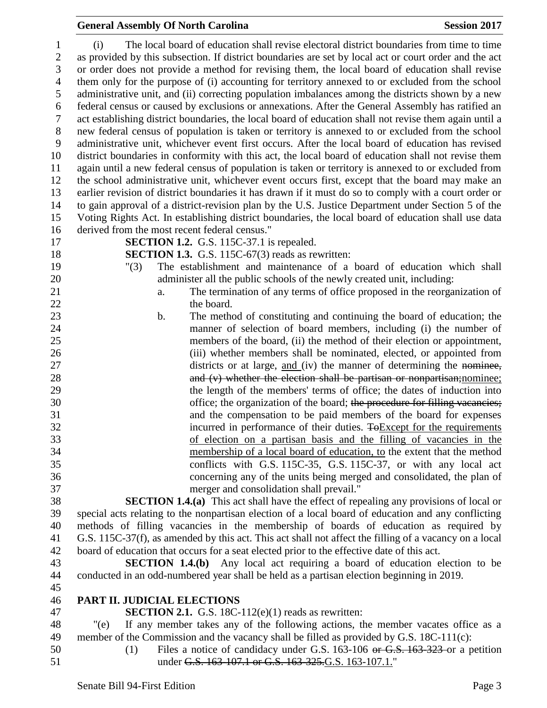### (i) The local board of education shall revise electoral district boundaries from time to time as provided by this subsection. If district boundaries are set by local act or court order and the act or order does not provide a method for revising them, the local board of education shall revise them only for the purpose of (i) accounting for territory annexed to or excluded from the school administrative unit, and (ii) correcting population imbalances among the districts shown by a new federal census or caused by exclusions or annexations. After the General Assembly has ratified an act establishing district boundaries, the local board of education shall not revise them again until a new federal census of population is taken or territory is annexed to or excluded from the school administrative unit, whichever event first occurs. After the local board of education has revised district boundaries in conformity with this act, the local board of education shall not revise them again until a new federal census of population is taken or territory is annexed to or excluded from the school administrative unit, whichever event occurs first, except that the board may make an earlier revision of district boundaries it has drawn if it must do so to comply with a court order or to gain approval of a district-revision plan by the U.S. Justice Department under Section 5 of the Voting Rights Act. In establishing district boundaries, the local board of education shall use data derived from the most recent federal census." **SECTION 1.2.** G.S. 115C-37.1 is repealed. **SECTION 1.3.** G.S. 115C-67(3) reads as rewritten: "(3) The establishment and maintenance of a board of education which shall administer all the public schools of the newly created unit, including: a. The termination of any terms of office proposed in the reorganization of 22 the board. b. The method of constituting and continuing the board of education; the manner of selection of board members, including (i) the number of members of the board, (ii) the method of their election or appointment, (iii) whether members shall be nominated, elected, or appointed from 27 districts or at large, and (iv) the manner of determining the nominee, 28 and (v) whether the election shall be partisan or nonpartisan; nominee; the length of the members' terms of office; the dates of induction into 30 office; the organization of the board; the procedure for filling vacancies; and the compensation to be paid members of the board for expenses 32 incurred in performance of their duties. To Except for the requirements of election on a partisan basis and the filling of vacancies in the membership of a local board of education, to the extent that the method conflicts with G.S. 115C-35, G.S. 115C-37, or with any local act concerning any of the units being merged and consolidated, the plan of merger and consolidation shall prevail." **SECTION 1.4.(a)** This act shall have the effect of repealing any provisions of local or special acts relating to the nonpartisan election of a local board of education and any conflicting methods of filling vacancies in the membership of boards of education as required by G.S. 115C-37(f), as amended by this act. This act shall not affect the filling of a vacancy on a local board of education that occurs for a seat elected prior to the effective date of this act. **SECTION 1.4.(b)** Any local act requiring a board of education election to be conducted in an odd-numbered year shall be held as a partisan election beginning in 2019. **PART II. JUDICIAL ELECTIONS SECTION 2.1.** G.S. 18C-112(e)(1) reads as rewritten: "(e) If any member takes any of the following actions, the member vacates office as a member of the Commission and the vacancy shall be filled as provided by G.S. 18C-111(c):

- 
- (1) Files a notice of candidacy under G.S. 163-106 or G.S. 163-323 or a petition 51 under G.S. 163-107.1 or G.S. 163-325.G.S. 163-107.1."

**General Assembly Of North Carolina Session 2017**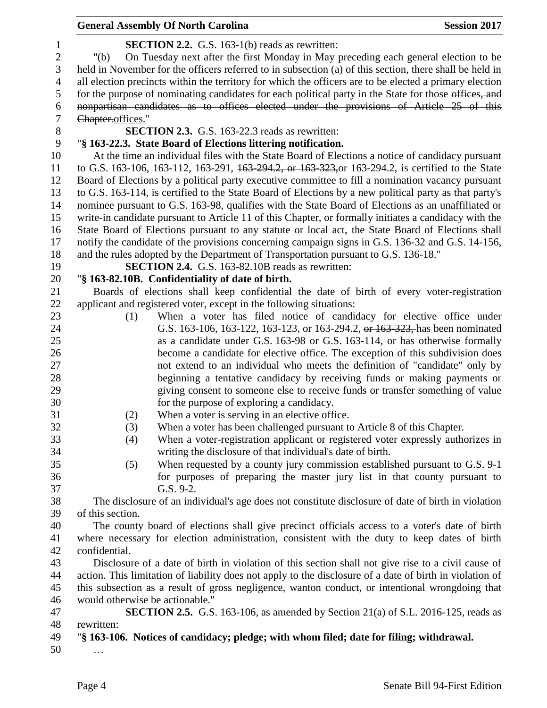|                | <b>General Assembly Of North Carolina</b>                                                                | <b>Session 2017</b> |
|----------------|----------------------------------------------------------------------------------------------------------|---------------------|
| $\mathbf{1}$   | <b>SECTION 2.2.</b> G.S. 163-1(b) reads as rewritten:                                                    |                     |
| $\mathbf{2}$   | On Tuesday next after the first Monday in May preceding each general election to be<br>" $(b)$           |                     |
| 3              | held in November for the officers referred to in subsection (a) of this section, there shall be held in  |                     |
| $\overline{4}$ | all election precincts within the territory for which the officers are to be elected a primary election  |                     |
| 5              | for the purpose of nominating candidates for each political party in the State for those offices, and    |                     |
| 6              | nonpartisan candidates as to offices elected under the provisions of Article 25 of this                  |                     |
| 7              | Chapter.offices."                                                                                        |                     |
| 8              | <b>SECTION 2.3.</b> G.S. 163-22.3 reads as rewritten:                                                    |                     |
| 9              | "§ 163-22.3. State Board of Elections littering notification.                                            |                     |
| 10             | At the time an individual files with the State Board of Elections a notice of candidacy pursuant         |                     |
| 11             | to G.S. 163-106, 163-112, 163-291, 163-294.2, or 163-323, or 163-294.2, is certified to the State        |                     |
| 12             | Board of Elections by a political party executive committee to fill a nomination vacancy pursuant        |                     |
| 13             | to G.S. 163-114, is certified to the State Board of Elections by a new political party as that party's   |                     |
| 14             | nominee pursuant to G.S. 163-98, qualifies with the State Board of Elections as an unaffiliated or       |                     |
| 15             | write-in candidate pursuant to Article 11 of this Chapter, or formally initiates a candidacy with the    |                     |
| 16             | State Board of Elections pursuant to any statute or local act, the State Board of Elections shall        |                     |
| 17             | notify the candidate of the provisions concerning campaign signs in G.S. 136-32 and G.S. 14-156,         |                     |
| 18             | and the rules adopted by the Department of Transportation pursuant to G.S. 136-18."                      |                     |
| 19             | <b>SECTION 2.4.</b> G.S. 163-82.10B reads as rewritten:                                                  |                     |
| 20             | "§ 163-82.10B. Confidentiality of date of birth.                                                         |                     |
| 21             | Boards of elections shall keep confidential the date of birth of every voter-registration                |                     |
| 22             | applicant and registered voter, except in the following situations:                                      |                     |
| 23             | When a voter has filed notice of candidacy for elective office under<br>(1)                              |                     |
| 24             | G.S. 163-106, 163-122, 163-123, or 163-294.2, or 163-323, has been nominated                             |                     |
| 25             | as a candidate under G.S. 163-98 or G.S. 163-114, or has otherwise formally                              |                     |
| 26             | become a candidate for elective office. The exception of this subdivision does                           |                     |
| 27             | not extend to an individual who meets the definition of "candidate" only by                              |                     |
| 28             | beginning a tentative candidacy by receiving funds or making payments or                                 |                     |
| 29             | giving consent to someone else to receive funds or transfer something of value                           |                     |
| 30             | for the purpose of exploring a candidacy.                                                                |                     |
| 31             | When a voter is serving in an elective office.<br>(2)                                                    |                     |
| 32             | (3)<br>When a voter has been challenged pursuant to Article 8 of this Chapter.                           |                     |
| 33             | When a voter-registration applicant or registered voter expressly authorizes in<br>(4)                   |                     |
| 34             | writing the disclosure of that individual's date of birth.                                               |                     |
| 35             | (5)<br>When requested by a county jury commission established pursuant to G.S. 9-1                       |                     |
| 36             | for purposes of preparing the master jury list in that county pursuant to                                |                     |
| 37             | G.S. 9-2.                                                                                                |                     |
| 38             | The disclosure of an individual's age does not constitute disclosure of date of birth in violation       |                     |
| 39             | of this section.                                                                                         |                     |
| 40             | The county board of elections shall give precinct officials access to a voter's date of birth            |                     |
| 41             | where necessary for election administration, consistent with the duty to keep dates of birth             |                     |
| 42             | confidential.                                                                                            |                     |
| 43             | Disclosure of a date of birth in violation of this section shall not give rise to a civil cause of       |                     |
| 44             | action. This limitation of liability does not apply to the disclosure of a date of birth in violation of |                     |
| 45             | this subsection as a result of gross negligence, wanton conduct, or intentional wrongdoing that          |                     |
| 46             | would otherwise be actionable."                                                                          |                     |
| 47             | <b>SECTION 2.5.</b> G.S. 163-106, as amended by Section 21(a) of S.L. 2016-125, reads as                 |                     |
| 48             | rewritten:                                                                                               |                     |
| 49             | "§ 163-106. Notices of candidacy; pledge; with whom filed; date for filing; withdrawal.                  |                     |
|                |                                                                                                          |                     |

…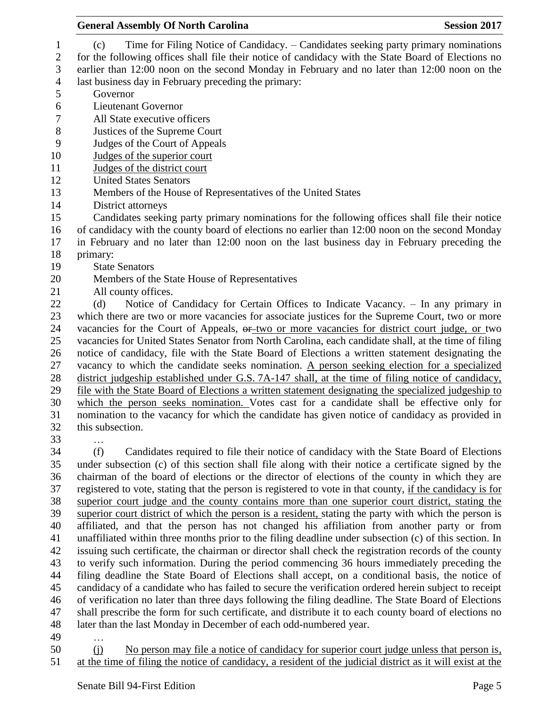| <b>General Assembly Of North Carolina</b>                                                                 | <b>Session 2017</b> |
|-----------------------------------------------------------------------------------------------------------|---------------------|
| Time for Filing Notice of Candidacy. – Candidates seeking party primary nominations<br>(c)                |                     |
| for the following offices shall file their notice of candidacy with the State Board of Elections no       |                     |
| earlier than 12:00 noon on the second Monday in February and no later than 12:00 noon on the              |                     |
| last business day in February preceding the primary:                                                      |                     |
| Governor                                                                                                  |                     |
| <b>Lieutenant Governor</b>                                                                                |                     |
| All State executive officers                                                                              |                     |
| Justices of the Supreme Court                                                                             |                     |
| Judges of the Court of Appeals                                                                            |                     |
| Judges of the superior court                                                                              |                     |
| Judges of the district court                                                                              |                     |
| <b>United States Senators</b>                                                                             |                     |
| Members of the House of Representatives of the United States                                              |                     |
| District attorneys                                                                                        |                     |
| Candidates seeking party primary nominations for the following offices shall file their notice            |                     |
| of candidacy with the county board of elections no earlier than 12:00 noon on the second Monday           |                     |
| in February and no later than 12:00 noon on the last business day in February preceding the               |                     |
| primary:                                                                                                  |                     |
| <b>State Senators</b>                                                                                     |                     |
| Members of the State House of Representatives                                                             |                     |
| All county offices.                                                                                       |                     |
| Notice of Candidacy for Certain Offices to Indicate Vacancy. - In any primary in<br>(d)                   |                     |
| which there are two or more vacancies for associate justices for the Supreme Court, two or more           |                     |
| vacancies for the Court of Appeals, or two or more vacancies for district court judge, or two             |                     |
| vacancies for United States Senator from North Carolina, each candidate shall, at the time of filing      |                     |
| notice of candidacy, file with the State Board of Elections a written statement designating the           |                     |
| vacancy to which the candidate seeks nomination. A person seeking election for a specialized              |                     |
| district judgeship established under G.S. 7A-147 shall, at the time of filing notice of candidacy,        |                     |
| file with the State Board of Elections a written statement designating the specialized judgeship to       |                     |
| which the person seeks nomination. Votes cast for a candidate shall be effective only for                 |                     |
| nomination to the vacancy for which the candidate has given notice of candidacy as provided in            |                     |
| this subsection.                                                                                          |                     |
|                                                                                                           |                     |
| (f)<br>Candidates required to file their notice of candidacy with the State Board of Elections            |                     |
| under subsection (c) of this section shall file along with their notice a certificate signed by the       |                     |
| chairman of the board of elections or the director of elections of the county in which they are           |                     |
| registered to vote, stating that the person is registered to vote in that county, if the candidacy is for |                     |
| superior court judge and the county contains more than one superior court district, stating the           |                     |
| superior court district of which the person is a resident, stating the party with which the person is     |                     |
| affiliated, and that the person has not changed his affiliation from another party or from                |                     |
| unaffiliated within three months prior to the filing deadline under subsection (c) of this section. In    |                     |
| issuing such certificate, the chairman or director shall check the registration records of the county     |                     |
| to verify such information. During the period commencing 36 hours immediately preceding the               |                     |
| filing deadline the State Board of Elections shall accept, on a conditional basis, the notice of          |                     |
| candidacy of a candidate who has failed to secure the verification ordered herein subject to receipt      |                     |
| of verification no later than three days following the filing deadline. The State Board of Elections      |                     |
| shall prescribe the form for such certificate, and distribute it to each county board of elections no     |                     |
| later than the last Monday in December of each odd-numbered year.                                         |                     |
|                                                                                                           |                     |

…

50 (j) No person may file a notice of candidacy for superior court judge unless that person is, at the time of filing the notice of candidacy, a resident of the judicial district as it will exist at the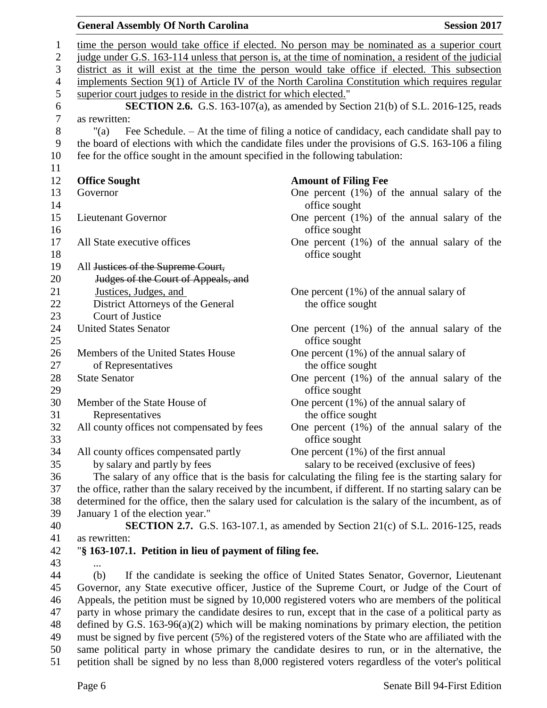|                | <b>General Assembly Of North Carolina</b>                                      | <b>Session 2017</b>                                                                                      |
|----------------|--------------------------------------------------------------------------------|----------------------------------------------------------------------------------------------------------|
| $\mathbf{1}$   |                                                                                | time the person would take office if elected. No person may be nominated as a superior court             |
| $\sqrt{2}$     |                                                                                | judge under G.S. 163-114 unless that person is, at the time of nomination, a resident of the judicial    |
| 3              |                                                                                | district as it will exist at the time the person would take office if elected. This subsection           |
| $\overline{4}$ |                                                                                | implements Section 9(1) of Article IV of the North Carolina Constitution which requires regular          |
| 5              | superior court judges to reside in the district for which elected."            |                                                                                                          |
| 6              |                                                                                | <b>SECTION 2.6.</b> G.S. 163-107(a), as amended by Section 21(b) of S.L. 2016-125, reads                 |
| $\overline{7}$ | as rewritten:                                                                  |                                                                                                          |
| $8\,$          | " $(a)$                                                                        | Fee Schedule. - At the time of filing a notice of candidacy, each candidate shall pay to                 |
| 9              |                                                                                | the board of elections with which the candidate files under the provisions of G.S. 163-106 a filing      |
| 10             | fee for the office sought in the amount specified in the following tabulation: |                                                                                                          |
| 11             |                                                                                |                                                                                                          |
| 12             | <b>Office Sought</b>                                                           | <b>Amount of Filing Fee</b>                                                                              |
| 13             | Governor                                                                       | One percent $(1\%)$ of the annual salary of the                                                          |
| 14             |                                                                                | office sought                                                                                            |
| 15             | <b>Lieutenant Governor</b>                                                     | One percent $(1\%)$ of the annual salary of the                                                          |
| 16             |                                                                                | office sought                                                                                            |
| 17             | All State executive offices                                                    | One percent $(1%)$ of the annual salary of the                                                           |
| 18             |                                                                                | office sought                                                                                            |
| 19             | All Justices of the Supreme Court,                                             |                                                                                                          |
| 20             | Judges of the Court of Appeals, and                                            |                                                                                                          |
| 21             | Justices, Judges, and                                                          | One percent $(1\%)$ of the annual salary of                                                              |
| 22<br>23       | District Attorneys of the General<br>Court of Justice                          | the office sought                                                                                        |
| 24             | <b>United States Senator</b>                                                   | One percent $(1%)$ of the annual salary of the                                                           |
| 25             |                                                                                | office sought                                                                                            |
| 26             | Members of the United States House                                             | One percent $(1\%)$ of the annual salary of                                                              |
| 27             | of Representatives                                                             | the office sought                                                                                        |
| 28             | <b>State Senator</b>                                                           | One percent $(1%)$ of the annual salary of the                                                           |
| 29             |                                                                                | office sought                                                                                            |
| 30             | Member of the State House of                                                   | One percent $(1\%)$ of the annual salary of                                                              |
| 31             | Representatives                                                                | the office sought                                                                                        |
| 32             | All county offices not compensated by fees                                     | One percent $(1\%)$ of the annual salary of the                                                          |
| 33             |                                                                                | office sought                                                                                            |
| 34             | All county offices compensated partly                                          | One percent $(1%)$ of the first annual                                                                   |
| 35             | by salary and partly by fees                                                   | salary to be received (exclusive of fees)                                                                |
| 36             |                                                                                | The salary of any office that is the basis for calculating the filing fee is the starting salary for     |
| 37             |                                                                                | the office, rather than the salary received by the incumbent, if different. If no starting salary can be |
| 38             |                                                                                | determined for the office, then the salary used for calculation is the salary of the incumbent, as of    |
| 39             | January 1 of the election year."                                               |                                                                                                          |
| 40             |                                                                                | <b>SECTION 2.7.</b> G.S. 163-107.1, as amended by Section 21(c) of S.L. 2016-125, reads                  |
| 41<br>42       | as rewritten:<br>"§ 163-107.1. Petition in lieu of payment of filing fee.      |                                                                                                          |
| 43             |                                                                                |                                                                                                          |
| 44             | (b)                                                                            | If the candidate is seeking the office of United States Senator, Governor, Lieutenant                    |
| 45             |                                                                                | Governor, any State executive officer, Justice of the Supreme Court, or Judge of the Court of            |
| 46             |                                                                                | Appeals, the petition must be signed by 10,000 registered voters who are members of the political        |
| 47             |                                                                                | party in whose primary the candidate desires to run, except that in the case of a political party as     |
| 48             |                                                                                | defined by G.S. $163-96(a)(2)$ which will be making nominations by primary election, the petition        |
| 49             |                                                                                | must be signed by five percent (5%) of the registered voters of the State who are affiliated with the    |
| 50             |                                                                                | same political party in whose primary the candidate desires to run, or in the alternative, the           |
| 51             |                                                                                | petition shall be signed by no less than 8,000 registered voters regardless of the voter's political     |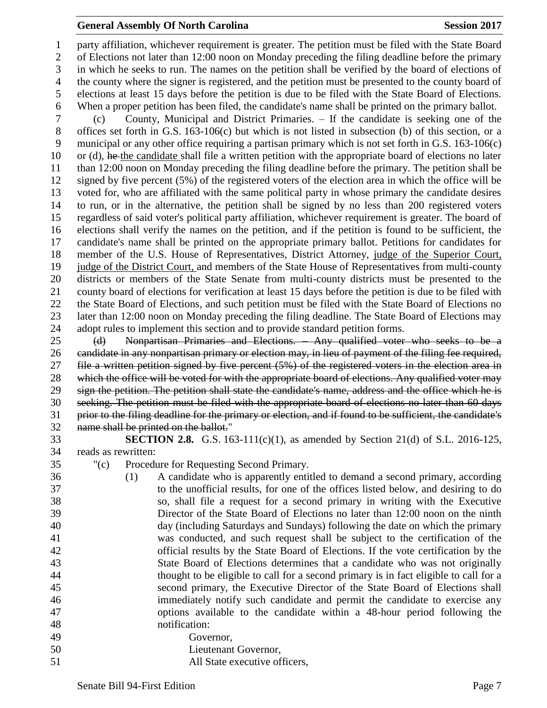#### **General Assembly Of North Carolina Session 2017**

 party affiliation, whichever requirement is greater. The petition must be filed with the State Board of Elections not later than 12:00 noon on Monday preceding the filing deadline before the primary in which he seeks to run. The names on the petition shall be verified by the board of elections of the county where the signer is registered, and the petition must be presented to the county board of elections at least 15 days before the petition is due to be filed with the State Board of Elections. When a proper petition has been filed, the candidate's name shall be printed on the primary ballot.

 (c) County, Municipal and District Primaries. – If the candidate is seeking one of the offices set forth in G.S. 163-106(c) but which is not listed in subsection (b) of this section, or a municipal or any other office requiring a partisan primary which is not set forth in G.S. 163-106(c) 10 or (d), he the candidate shall file a written petition with the appropriate board of elections no later than 12:00 noon on Monday preceding the filing deadline before the primary. The petition shall be signed by five percent (5%) of the registered voters of the election area in which the office will be voted for, who are affiliated with the same political party in whose primary the candidate desires to run, or in the alternative, the petition shall be signed by no less than 200 registered voters regardless of said voter's political party affiliation, whichever requirement is greater. The board of elections shall verify the names on the petition, and if the petition is found to be sufficient, the candidate's name shall be printed on the appropriate primary ballot. Petitions for candidates for member of the U.S. House of Representatives, District Attorney, judge of the Superior Court, judge of the District Court, and members of the State House of Representatives from multi-county districts or members of the State Senate from multi-county districts must be presented to the county board of elections for verification at least 15 days before the petition is due to be filed with the State Board of Elections, and such petition must be filed with the State Board of Elections no later than 12:00 noon on Monday preceding the filing deadline. The State Board of Elections may adopt rules to implement this section and to provide standard petition forms.

 (d) Nonpartisan Primaries and Elections. – Any qualified voter who seeks to be a candidate in any nonpartisan primary or election may, in lieu of payment of the filing fee required, file a written petition signed by five percent (5%) of the registered voters in the election area in 28 which the office will be voted for with the appropriate board of elections. Any qualified voter may sign the petition. The petition shall state the candidate's name, address and the office which he is seeking. The petition must be filed with the appropriate board of elections no later than 60 days prior to the filing deadline for the primary or election, and if found to be sufficient, the candidate's name shall be printed on the ballot."

- **SECTION 2.8.** G.S. 163-111(c)(1), as amended by Section 21(d) of S.L. 2016-125, reads as rewritten:
- "(c) Procedure for Requesting Second Primary.
- (1) A candidate who is apparently entitled to demand a second primary, according to the unofficial results, for one of the offices listed below, and desiring to do so, shall file a request for a second primary in writing with the Executive Director of the State Board of Elections no later than 12:00 noon on the ninth day (including Saturdays and Sundays) following the date on which the primary was conducted, and such request shall be subject to the certification of the official results by the State Board of Elections. If the vote certification by the State Board of Elections determines that a candidate who was not originally thought to be eligible to call for a second primary is in fact eligible to call for a second primary, the Executive Director of the State Board of Elections shall immediately notify such candidate and permit the candidate to exercise any options available to the candidate within a 48-hour period following the notification: Governor, Lieutenant Governor,
- All State executive officers,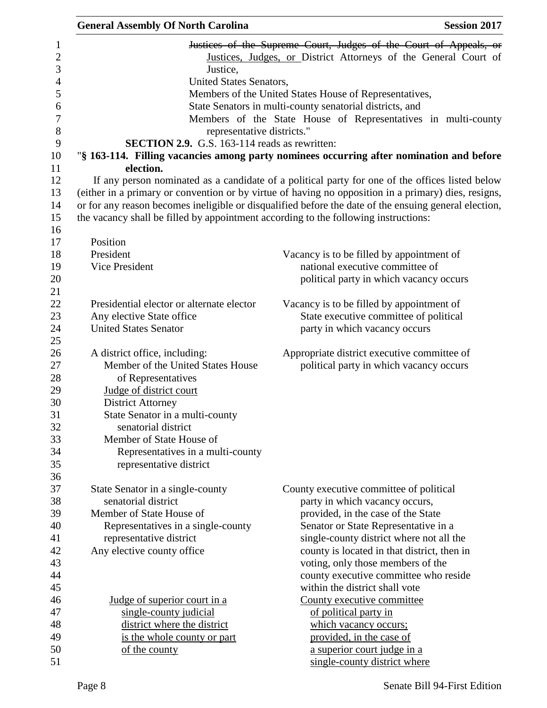| <b>General Assembly Of North Carolina</b> | <b>Session 2017</b>                                                                                   |
|-------------------------------------------|-------------------------------------------------------------------------------------------------------|
|                                           | Justices of the Supreme Court, Judges of the Court of Appeals, or                                     |
|                                           | Justices, Judges, or District Attorneys of the General Court of                                       |
| Justice.                                  |                                                                                                       |
|                                           | United States Senators,                                                                               |
|                                           | Members of the United States House of Representatives,                                                |
|                                           | State Senators in multi-county senatorial districts, and                                              |
|                                           | Members of the State House of Representatives in multi-county                                         |
|                                           | representative districts."                                                                            |
|                                           | <b>SECTION 2.9.</b> G.S. 163-114 reads as rewritten:                                                  |
|                                           | "§ 163-114. Filling vacancies among party nominees occurring after nomination and before              |
| election.                                 |                                                                                                       |
|                                           | If any person nominated as a candidate of a political party for one of the offices listed below       |
|                                           | (either in a primary or convention or by virtue of having no opposition in a primary) dies, resigns,  |
|                                           | or for any reason becomes ineligible or disqualified before the date of the ensuing general election, |
|                                           | the vacancy shall be filled by appointment according to the following instructions:                   |
|                                           |                                                                                                       |
| Position                                  |                                                                                                       |
| President                                 | Vacancy is to be filled by appointment of                                                             |
| <b>Vice President</b>                     | national executive committee of                                                                       |
|                                           | political party in which vacancy occurs                                                               |
| Presidential elector or alternate elector |                                                                                                       |
| Any elective State office                 | Vacancy is to be filled by appointment of<br>State executive committee of political                   |
| <b>United States Senator</b>              | party in which vacancy occurs                                                                         |
|                                           |                                                                                                       |
| A district office, including:             | Appropriate district executive committee of                                                           |
| Member of the United States House         | political party in which vacancy occurs                                                               |
| of Representatives                        |                                                                                                       |
| Judge of district court                   |                                                                                                       |
| <b>District Attorney</b>                  |                                                                                                       |
| State Senator in a multi-county           |                                                                                                       |
| senatorial district                       |                                                                                                       |
| Member of State House of                  |                                                                                                       |
| Representatives in a multi-county         |                                                                                                       |
| representative district                   |                                                                                                       |
|                                           |                                                                                                       |
| State Senator in a single-county          | County executive committee of political                                                               |
| senatorial district                       | party in which vacancy occurs,                                                                        |
| Member of State House of                  | provided, in the case of the State                                                                    |
| Representatives in a single-county        | Senator or State Representative in a                                                                  |
| representative district                   | single-county district where not all the                                                              |
| Any elective county office                | county is located in that district, then in                                                           |
|                                           | voting, only those members of the                                                                     |
|                                           | county executive committee who reside                                                                 |
|                                           | within the district shall vote                                                                        |
| Judge of superior court in a              | County executive committee                                                                            |
| single-county judicial                    | of political party in                                                                                 |
| district where the district               | which vacancy occurs;                                                                                 |
| is the whole county or part               | provided, in the case of                                                                              |
| of the county                             | a superior court judge in a                                                                           |
|                                           | single-county district where                                                                          |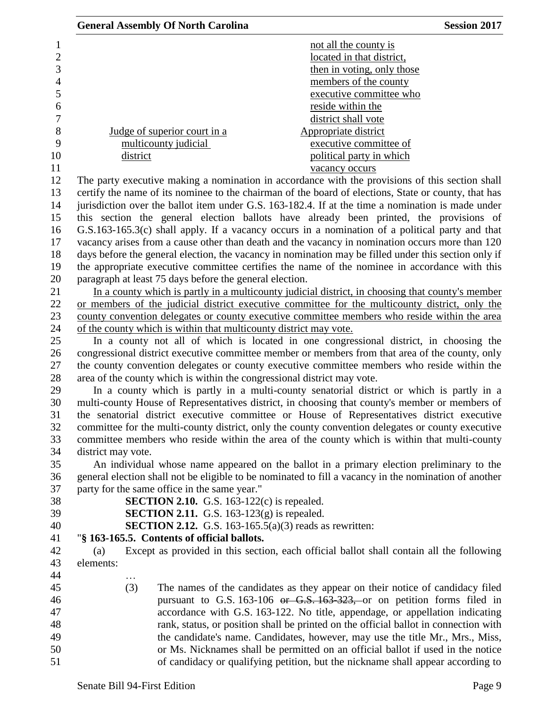| <b>General Assembly Of North Carolina</b><br><b>Session 2017</b>                                      |
|-------------------------------------------------------------------------------------------------------|
| not all the county is                                                                                 |
| located in that district,                                                                             |
| then in voting, only those                                                                            |
| members of the county                                                                                 |
| executive committee who                                                                               |
| reside within the                                                                                     |
| district shall vote                                                                                   |
| Judge of superior court in a<br>Appropriate district                                                  |
| multicounty judicial<br>executive committee of                                                        |
| political party in which<br>district                                                                  |
| vacancy occurs                                                                                        |
| The party executive making a nomination in accordance with the provisions of this section shall       |
| certify the name of its nominee to the chairman of the board of elections, State or county, that has  |
| jurisdiction over the ballot item under G.S. 163-182.4. If at the time a nomination is made under     |
| this section the general election ballots have already been printed, the provisions of                |
| G.S.163-165.3(c) shall apply. If a vacancy occurs in a nomination of a political party and that       |
| vacancy arises from a cause other than death and the vacancy in nomination occurs more than 120       |
| days before the general election, the vacancy in nomination may be filled under this section only if  |
| the appropriate executive committee certifies the name of the nominee in accordance with this         |
| paragraph at least 75 days before the general election.                                               |
| In a county which is partly in a multicounty judicial district, in choosing that county's member      |
| or members of the judicial district executive committee for the multicounty district, only the        |
| county convention delegates or county executive committee members who reside within the area          |
| of the county which is within that multicounty district may vote.                                     |
| In a county not all of which is located in one congressional district, in choosing the                |
| congressional district executive committee member or members from that area of the county, only       |
| the county convention delegates or county executive committee members who reside within the           |
| area of the county which is within the congressional district may vote.                               |
| In a county which is partly in a multi-county senatorial district or which is partly in a             |
| multi-county House of Representatives district, in choosing that county's member or members of        |
| the senatorial district executive committee or House of Representatives district executive            |
| committee for the multi-county district, only the county convention delegates or county executive     |
| committee members who reside within the area of the county which is within that multi-county          |
| district may vote.                                                                                    |
| An individual whose name appeared on the ballot in a primary election preliminary to the              |
| general election shall not be eligible to be nominated to fill a vacancy in the nomination of another |
| party for the same office in the same year."                                                          |
|                                                                                                       |
| <b>SECTION 2.10.</b> G.S. 163-122 $(c)$ is repealed.                                                  |
| <b>SECTION 2.11.</b> G.S. 163-123 $(g)$ is repealed.                                                  |
| <b>SECTION 2.12.</b> G.S. 163-165.5(a)(3) reads as rewritten:                                         |
| "§ 163-165.5. Contents of official ballots.                                                           |
| Except as provided in this section, each official ballot shall contain all the following<br>(a)       |
| elements:                                                                                             |
|                                                                                                       |
| (3)<br>The names of the candidates as they appear on their notice of candidacy filed                  |
| pursuant to G.S. 163-106 or G.S. 163-323, or on petition forms filed in                               |
| accordance with G.S. 163-122. No title, appendage, or appellation indicating                          |
| rank, status, or position shall be printed on the official ballot in connection with                  |
| the candidate's name. Candidates, however, may use the title Mr., Mrs., Miss,                         |
| or Ms. Nicknames shall be permitted on an official ballot if used in the notice                       |
| of candidacy or qualifying petition, but the nickname shall appear according to                       |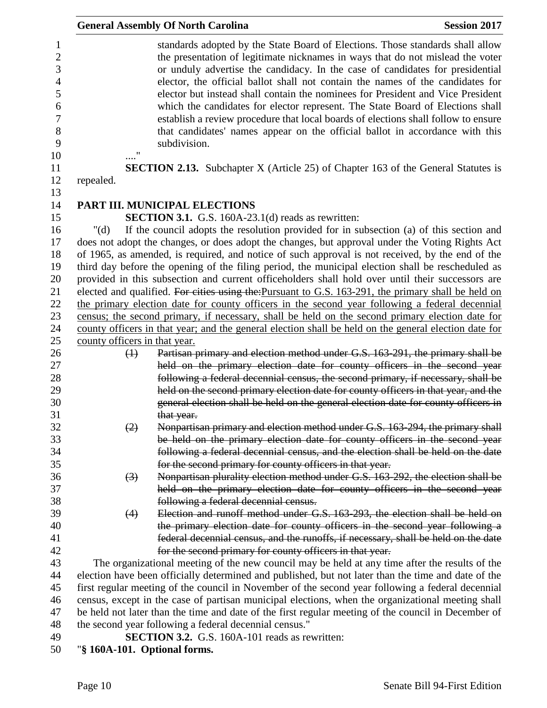|                               | <b>General Assembly Of North Carolina</b>                                                                                                                                                                                                                                                                                                                                                                                                                                                                                                                                                                                                                                                      | <b>Session 2017</b> |
|-------------------------------|------------------------------------------------------------------------------------------------------------------------------------------------------------------------------------------------------------------------------------------------------------------------------------------------------------------------------------------------------------------------------------------------------------------------------------------------------------------------------------------------------------------------------------------------------------------------------------------------------------------------------------------------------------------------------------------------|---------------------|
|                               | standards adopted by the State Board of Elections. Those standards shall allow<br>the presentation of legitimate nicknames in ways that do not mislead the voter<br>or unduly advertise the candidacy. In the case of candidates for presidential<br>elector, the official ballot shall not contain the names of the candidates for<br>elector but instead shall contain the nominees for President and Vice President<br>which the candidates for elector represent. The State Board of Elections shall<br>establish a review procedure that local boards of elections shall follow to ensure<br>that candidates' names appear on the official ballot in accordance with this<br>subdivision. |                     |
|                               | <b>SECTION 2.13.</b> Subchapter X (Article 25) of Chapter 163 of the General Statutes is                                                                                                                                                                                                                                                                                                                                                                                                                                                                                                                                                                                                       |                     |
| repealed.                     |                                                                                                                                                                                                                                                                                                                                                                                                                                                                                                                                                                                                                                                                                                |                     |
|                               | PART III. MUNICIPAL ELECTIONS                                                                                                                                                                                                                                                                                                                                                                                                                                                                                                                                                                                                                                                                  |                     |
|                               | <b>SECTION 3.1.</b> G.S. 160A-23.1(d) reads as rewritten:                                                                                                                                                                                                                                                                                                                                                                                                                                                                                                                                                                                                                                      |                     |
| " $(d)$                       | If the council adopts the resolution provided for in subsection (a) of this section and<br>does not adopt the changes, or does adopt the changes, but approval under the Voting Rights Act<br>of 1965, as amended, is required, and notice of such approval is not received, by the end of the<br>third day before the opening of the filing period, the municipal election shall be rescheduled as<br>provided in this subsection and current officeholders shall hold over until their successors are                                                                                                                                                                                        |                     |
|                               | elected and qualified. For cities using the: Pursuant to G.S. 163-291, the primary shall be held on                                                                                                                                                                                                                                                                                                                                                                                                                                                                                                                                                                                            |                     |
|                               | the primary election date for county officers in the second year following a federal decennial                                                                                                                                                                                                                                                                                                                                                                                                                                                                                                                                                                                                 |                     |
|                               | census; the second primary, if necessary, shall be held on the second primary election date for                                                                                                                                                                                                                                                                                                                                                                                                                                                                                                                                                                                                |                     |
|                               | county officers in that year; and the general election shall be held on the general election date for                                                                                                                                                                                                                                                                                                                                                                                                                                                                                                                                                                                          |                     |
| county officers in that year. |                                                                                                                                                                                                                                                                                                                                                                                                                                                                                                                                                                                                                                                                                                |                     |
| $\bigoplus$                   | Partisan primary and election method under G.S. 163-291, the primary shall be                                                                                                                                                                                                                                                                                                                                                                                                                                                                                                                                                                                                                  |                     |
|                               | held on the primary election date for county officers in the second year                                                                                                                                                                                                                                                                                                                                                                                                                                                                                                                                                                                                                       |                     |
|                               | following a federal decennial census, the second primary, if necessary, shall be                                                                                                                                                                                                                                                                                                                                                                                                                                                                                                                                                                                                               |                     |
|                               | held on the second primary election date for county officers in that year, and the<br>general election shall be held on the general election date for county officers in                                                                                                                                                                                                                                                                                                                                                                                                                                                                                                                       |                     |
|                               | that year.                                                                                                                                                                                                                                                                                                                                                                                                                                                                                                                                                                                                                                                                                     |                     |
| $\left( 2\right)$             | Nonpartisan primary and election method under G.S. 163-294, the primary shall                                                                                                                                                                                                                                                                                                                                                                                                                                                                                                                                                                                                                  |                     |
|                               | be held on the primary election date for county officers in the second year                                                                                                                                                                                                                                                                                                                                                                                                                                                                                                                                                                                                                    |                     |
|                               | following a federal decennial census, and the election shall be held on the date<br>for the second primary for county officers in that year.                                                                                                                                                                                                                                                                                                                                                                                                                                                                                                                                                   |                     |
| $\left(3\right)$              | Nonpartisan plurality election method under G.S. 163-292, the election shall be                                                                                                                                                                                                                                                                                                                                                                                                                                                                                                                                                                                                                |                     |
|                               | held on the primary election date for county officers in the second year                                                                                                                                                                                                                                                                                                                                                                                                                                                                                                                                                                                                                       |                     |
|                               | following a federal decennial census.                                                                                                                                                                                                                                                                                                                                                                                                                                                                                                                                                                                                                                                          |                     |
| (4)                           | Election and runoff method under G.S. 163-293, the election shall be held on                                                                                                                                                                                                                                                                                                                                                                                                                                                                                                                                                                                                                   |                     |
|                               | the primary election date for county officers in the second year following a                                                                                                                                                                                                                                                                                                                                                                                                                                                                                                                                                                                                                   |                     |
|                               | federal decennial census, and the runoffs, if necessary, shall be held on the date                                                                                                                                                                                                                                                                                                                                                                                                                                                                                                                                                                                                             |                     |
|                               | for the second primary for county officers in that year.                                                                                                                                                                                                                                                                                                                                                                                                                                                                                                                                                                                                                                       |                     |
|                               | The organizational meeting of the new council may be held at any time after the results of the                                                                                                                                                                                                                                                                                                                                                                                                                                                                                                                                                                                                 |                     |
|                               | election have been officially determined and published, but not later than the time and date of the                                                                                                                                                                                                                                                                                                                                                                                                                                                                                                                                                                                            |                     |
|                               | first regular meeting of the council in November of the second year following a federal decennial                                                                                                                                                                                                                                                                                                                                                                                                                                                                                                                                                                                              |                     |
|                               | census, except in the case of partisan municipal elections, when the organizational meeting shall                                                                                                                                                                                                                                                                                                                                                                                                                                                                                                                                                                                              |                     |
|                               | be held not later than the time and date of the first regular meeting of the council in December of                                                                                                                                                                                                                                                                                                                                                                                                                                                                                                                                                                                            |                     |
|                               | the second year following a federal decennial census."                                                                                                                                                                                                                                                                                                                                                                                                                                                                                                                                                                                                                                         |                     |
|                               | <b>SECTION 3.2.</b> G.S. 160A-101 reads as rewritten:                                                                                                                                                                                                                                                                                                                                                                                                                                                                                                                                                                                                                                          |                     |

"**§ 160A-101. Optional forms.**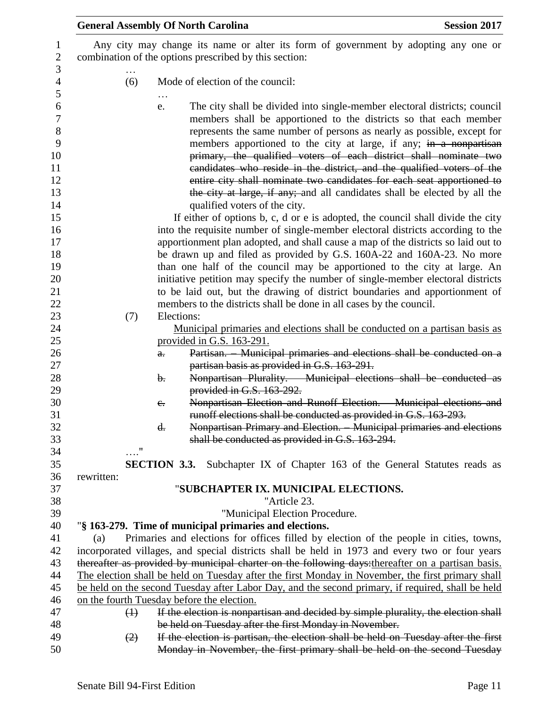|                   | <b>General Assembly Of North Carolina</b><br><b>Session 2017</b>                                                                                                                                                                                                                                                                                                                                                                                                                                                                                                                                                                             |
|-------------------|----------------------------------------------------------------------------------------------------------------------------------------------------------------------------------------------------------------------------------------------------------------------------------------------------------------------------------------------------------------------------------------------------------------------------------------------------------------------------------------------------------------------------------------------------------------------------------------------------------------------------------------------|
|                   | Any city may change its name or alter its form of government by adopting any one or<br>combination of the options prescribed by this section:                                                                                                                                                                                                                                                                                                                                                                                                                                                                                                |
| (6)               | Mode of election of the council:                                                                                                                                                                                                                                                                                                                                                                                                                                                                                                                                                                                                             |
|                   | The city shall be divided into single-member electoral districts; council<br>e.<br>members shall be apportioned to the districts so that each member<br>represents the same number of persons as nearly as possible, except for<br>members apportioned to the city at large, if any; in a nonpartisan<br>primary, the qualified voters of each district shall nominate two<br>candidates who reside in the district, and the qualified voters of the<br>entire city shall nominate two candidates for each seat apportioned to<br>the city at large, if any; and all candidates shall be elected by all the<br>qualified voters of the city. |
|                   | If either of options b, c, d or e is adopted, the council shall divide the city<br>into the requisite number of single-member electoral districts according to the<br>apportionment plan adopted, and shall cause a map of the districts so laid out to                                                                                                                                                                                                                                                                                                                                                                                      |
|                   | be drawn up and filed as provided by G.S. 160A-22 and 160A-23. No more<br>than one half of the council may be apportioned to the city at large. An<br>initiative petition may specify the number of single-member electoral districts<br>to be laid out, but the drawing of district boundaries and apportionment of                                                                                                                                                                                                                                                                                                                         |
| (7)               | members to the districts shall be done in all cases by the council.<br>Elections:                                                                                                                                                                                                                                                                                                                                                                                                                                                                                                                                                            |
|                   | Municipal primaries and elections shall be conducted on a partisan basis as<br>provided in G.S. 163-291.                                                                                                                                                                                                                                                                                                                                                                                                                                                                                                                                     |
|                   | Partisan. - Municipal primaries and elections shall be conducted on a<br>$a_{\overline{\cdot}}$<br>partisan basis as provided in G.S. 163-291.                                                                                                                                                                                                                                                                                                                                                                                                                                                                                               |
|                   | Nonpartisan Plurality. Municipal elections shall be conducted as<br>$\mathbf{b}$ .<br>provided in G.S. 163-292.                                                                                                                                                                                                                                                                                                                                                                                                                                                                                                                              |
|                   | Nonpartisan Election and Runoff Election. - Municipal elections and<br>$e_{\cdot}$<br>runoff elections shall be conducted as provided in G.S. 163-293.<br>Nonpartisan Primary and Election. Municipal primaries and elections<br>d.                                                                                                                                                                                                                                                                                                                                                                                                          |
| 11                | shall be conducted as provided in G.S. 163-294.                                                                                                                                                                                                                                                                                                                                                                                                                                                                                                                                                                                              |
| rewritten:        | <b>SECTION 3.3.</b> Subchapter IX of Chapter 163 of the General Statutes reads as                                                                                                                                                                                                                                                                                                                                                                                                                                                                                                                                                            |
|                   | "SUBCHAPTER IX. MUNICIPAL ELECTIONS.                                                                                                                                                                                                                                                                                                                                                                                                                                                                                                                                                                                                         |
|                   | "Article 23.                                                                                                                                                                                                                                                                                                                                                                                                                                                                                                                                                                                                                                 |
|                   | "Municipal Election Procedure.                                                                                                                                                                                                                                                                                                                                                                                                                                                                                                                                                                                                               |
|                   | "§ 163-279. Time of municipal primaries and elections.                                                                                                                                                                                                                                                                                                                                                                                                                                                                                                                                                                                       |
| (a)               | Primaries and elections for offices filled by election of the people in cities, towns,                                                                                                                                                                                                                                                                                                                                                                                                                                                                                                                                                       |
|                   | incorporated villages, and special districts shall be held in 1973 and every two or four years<br>thereafter as provided by municipal charter on the following days: thereafter on a partisan basis.<br>The election shall be held on Tuesday after the first Monday in November, the first primary shall                                                                                                                                                                                                                                                                                                                                    |
|                   | be held on the second Tuesday after Labor Day, and the second primary, if required, shall be held                                                                                                                                                                                                                                                                                                                                                                                                                                                                                                                                            |
|                   | on the fourth Tuesday before the election.                                                                                                                                                                                                                                                                                                                                                                                                                                                                                                                                                                                                   |
| $\leftrightarrow$ | If the election is nonpartisan and decided by simple plurality, the election shall                                                                                                                                                                                                                                                                                                                                                                                                                                                                                                                                                           |
|                   | be held on Tuesday after the first Monday in November.                                                                                                                                                                                                                                                                                                                                                                                                                                                                                                                                                                                       |
| (2)               | If the election is partisan, the election shall be held on Tuesday after the first<br>Monday in November, the first primary shall be held on the second Tuesday                                                                                                                                                                                                                                                                                                                                                                                                                                                                              |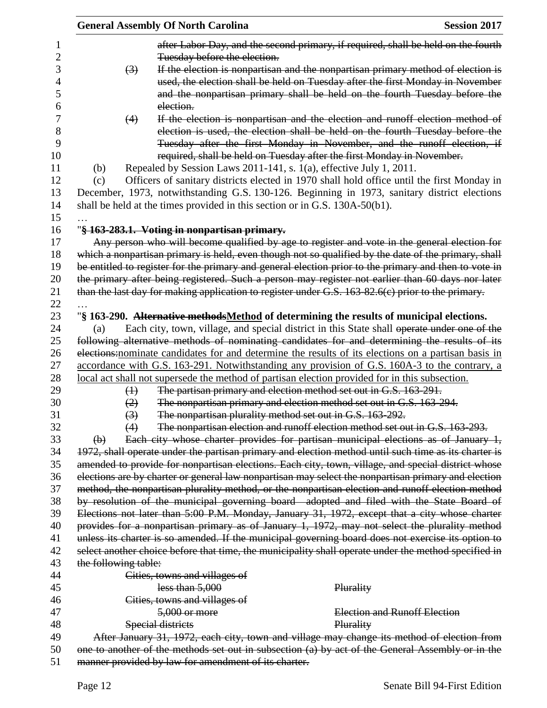|                      |                   | <b>General Assembly Of North Carolina</b>                                   | <b>Session 2017</b>                                                                                                                                                                          |
|----------------------|-------------------|-----------------------------------------------------------------------------|----------------------------------------------------------------------------------------------------------------------------------------------------------------------------------------------|
|                      |                   |                                                                             | after Labor Day, and the second primary, if required, shall be held on the fourth                                                                                                            |
|                      |                   | Tuesday before the election.                                                |                                                                                                                                                                                              |
|                      | $\left(3\right)$  |                                                                             | If the election is nonpartisan and the nonpartisan primary method of election is                                                                                                             |
|                      |                   |                                                                             | used, the election shall be held on Tuesday after the first Monday in November                                                                                                               |
|                      |                   |                                                                             | and the nonpartisan primary shall be held on the fourth Tuesday before the                                                                                                                   |
|                      |                   | election.                                                                   |                                                                                                                                                                                              |
|                      | (4)               |                                                                             | If the election is nonpartisan and the election and runoff election method of                                                                                                                |
|                      |                   |                                                                             | election is used, the election shall be held on the fourth Tuesday before the                                                                                                                |
|                      |                   |                                                                             | Tuesday after the first Monday in November, and the runoff election, if                                                                                                                      |
|                      |                   |                                                                             | required, shall be held on Tuesday after the first Monday in November.                                                                                                                       |
| (b)                  |                   |                                                                             | Repealed by Session Laws 2011-141, s. 1(a), effective July 1, 2011.                                                                                                                          |
| (c)                  |                   |                                                                             | Officers of sanitary districts elected in 1970 shall hold office until the first Monday in                                                                                                   |
|                      |                   |                                                                             | December, 1973, notwithstanding G.S. 130-126. Beginning in 1973, sanitary district elections                                                                                                 |
|                      |                   | shall be held at the times provided in this section or in G.S. 130A-50(b1). |                                                                                                                                                                                              |
|                      |                   |                                                                             |                                                                                                                                                                                              |
|                      |                   | "§ 163-283.1. Voting in nonpartisan primary.                                |                                                                                                                                                                                              |
|                      |                   |                                                                             | Any person who will become qualified by age to register and vote in the general election for                                                                                                 |
|                      |                   |                                                                             | which a nonpartisan primary is held, even though not so qualified by the date of the primary, shall                                                                                          |
|                      |                   |                                                                             | be entitled to register for the primary and general election prior to the primary and then to vote in                                                                                        |
|                      |                   |                                                                             | the primary after being registered. Such a person may register not earlier than 60 days nor later                                                                                            |
|                      |                   |                                                                             | than the last day for making application to register under G.S. 163-82.6(c) prior to the primary.                                                                                            |
|                      |                   |                                                                             |                                                                                                                                                                                              |
|                      |                   |                                                                             |                                                                                                                                                                                              |
| (a)                  |                   |                                                                             | "§ 163-290. Alternative methodsMethod of determining the results of municipal elections.                                                                                                     |
|                      |                   |                                                                             | Each city, town, village, and special district in this State shall operate under one of the<br>following alternative methods of nominating candidates for and determining the results of its |
|                      |                   |                                                                             | elections: nominate candidates for and determine the results of its elections on a partisan basis in                                                                                         |
|                      |                   |                                                                             | accordance with G.S. 163-291. Notwithstanding any provision of G.S. 160A-3 to the contrary, a                                                                                                |
|                      |                   |                                                                             | local act shall not supersede the method of partisan election provided for in this subsection.                                                                                               |
|                      | $\leftrightarrow$ |                                                                             | The partisan primary and election method set out in G.S. 163-291.                                                                                                                            |
|                      | (2)               |                                                                             | The nonpartisan primary and election method set out in G.S. 163-294.                                                                                                                         |
|                      | (3)               |                                                                             | The nonpartisan plurality method set out in G.S. 163-292.                                                                                                                                    |
|                      | (4)               |                                                                             | The nonpartisan election and runoff election method set out in G.S. 163-293.                                                                                                                 |
| $\Theta$             |                   |                                                                             | Each city whose charter provides for partisan municipal elections as of January 1,                                                                                                           |
|                      |                   |                                                                             | 1972, shall operate under the partisan primary and election method until such time as its charter is                                                                                         |
|                      |                   |                                                                             | amended to provide for nonpartisan elections. Each city, town, village, and special district whose                                                                                           |
|                      |                   |                                                                             |                                                                                                                                                                                              |
|                      |                   |                                                                             | elections are by charter or general law nonpartisan may select the nonpartisan primary and election                                                                                          |
|                      |                   |                                                                             | method, the nonpartisan plurality method, or the nonpartisan election and runoff election method                                                                                             |
|                      |                   |                                                                             | by resolution of the municipal governing board adopted and filed with the State Board of                                                                                                     |
|                      |                   |                                                                             | Elections not later than 5:00 P.M. Monday, January 31, 1972, except that a city whose charter                                                                                                |
|                      |                   |                                                                             | provides for a nonpartisan primary as of January 1, 1972, may not select the plurality method                                                                                                |
|                      |                   |                                                                             | unless its charter is so amended. If the municipal governing board does not exercise its option to                                                                                           |
|                      |                   |                                                                             | select another choice before that time, the municipality shall operate under the method specified in                                                                                         |
| the following table: |                   |                                                                             |                                                                                                                                                                                              |
|                      |                   | Cities, towns and villages of                                               |                                                                                                                                                                                              |
|                      |                   | less than $5,000$                                                           | Plurality                                                                                                                                                                                    |
|                      |                   | Cities, towns and villages of                                               |                                                                                                                                                                                              |
|                      |                   | 5,000 or more                                                               | Election and Runoff Election                                                                                                                                                                 |
|                      |                   | Special districts                                                           | Plurality                                                                                                                                                                                    |
|                      |                   |                                                                             | After January 31, 1972, each city, town and village may change its method of election from                                                                                                   |
|                      |                   |                                                                             | one to another of the methods set out in subsection (a) by act of the General Assembly or in the                                                                                             |
|                      |                   | manner provided by law for amendment of its charter.                        |                                                                                                                                                                                              |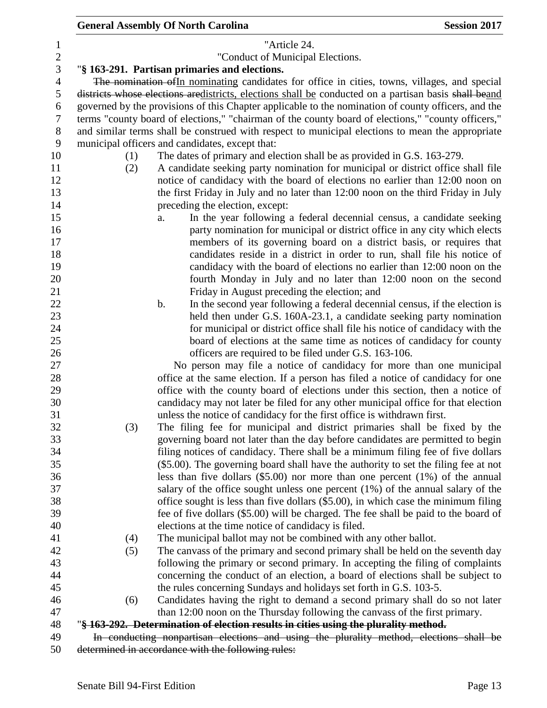### **General Assembly Of North Carolina Session 2017**  "Article 24. "Conduct of Municipal Elections. "**§ 163-291. Partisan primaries and elections.** The nomination ofIn nominating candidates for office in cities, towns, villages, and special districts whose elections aredistricts, elections shall be conducted on a partisan basis shall beand governed by the provisions of this Chapter applicable to the nomination of county officers, and the terms "county board of elections," "chairman of the county board of elections," "county officers," and similar terms shall be construed with respect to municipal elections to mean the appropriate municipal officers and candidates, except that: (1) The dates of primary and election shall be as provided in G.S. 163-279. (2) A candidate seeking party nomination for municipal or district office shall file notice of candidacy with the board of elections no earlier than 12:00 noon on the first Friday in July and no later than 12:00 noon on the third Friday in July 14 preceding the election, except: a. In the year following a federal decennial census, a candidate seeking **party nomination for municipal or district office in any city which elects**  members of its governing board on a district basis, or requires that candidates reside in a district in order to run, shall file his notice of candidacy with the board of elections no earlier than 12:00 noon on the fourth Monday in July and no later than 12:00 noon on the second Friday in August preceding the election; and 22 b. In the second year following a federal decennial census, if the election is held then under G.S. 160A-23.1, a candidate seeking party nomination for municipal or district office shall file his notice of candidacy with the 25 board of elections at the same time as notices of candidacy for county officers are required to be filed under G.S. 163-106. No person may file a notice of candidacy for more than one municipal office at the same election. If a person has filed a notice of candidacy for one office with the county board of elections under this section, then a notice of candidacy may not later be filed for any other municipal office for that election unless the notice of candidacy for the first office is withdrawn first. (3) The filing fee for municipal and district primaries shall be fixed by the governing board not later than the day before candidates are permitted to begin filing notices of candidacy. There shall be a minimum filing fee of five dollars (\$5.00). The governing board shall have the authority to set the filing fee at not less than five dollars (\$5.00) nor more than one percent (1%) of the annual salary of the office sought unless one percent (1%) of the annual salary of the office sought is less than five dollars (\$5.00), in which case the minimum filing fee of five dollars (\$5.00) will be charged. The fee shall be paid to the board of elections at the time notice of candidacy is filed. (4) The municipal ballot may not be combined with any other ballot. (5) The canvass of the primary and second primary shall be held on the seventh day following the primary or second primary. In accepting the filing of complaints concerning the conduct of an election, a board of elections shall be subject to the rules concerning Sundays and holidays set forth in G.S. 103-5. (6) Candidates having the right to demand a second primary shall do so not later than 12:00 noon on the Thursday following the canvass of the first primary. "**§ 163-292. Determination of election results in cities using the plurality method.** In conducting nonpartisan elections and using the plurality method, elections shall be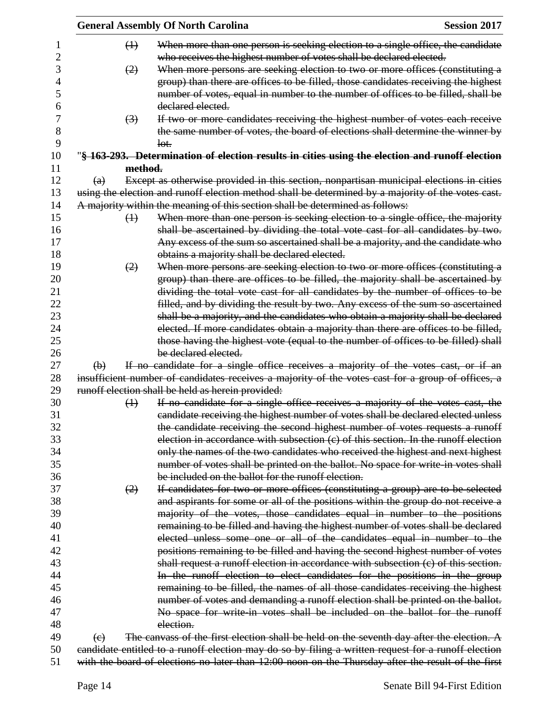|          |                   | <b>General Assembly Of North Carolina</b>                                                                                                                                                       | <b>Session 2017</b> |
|----------|-------------------|-------------------------------------------------------------------------------------------------------------------------------------------------------------------------------------------------|---------------------|
|          | $\leftrightarrow$ | When more than one person is seeking election to a single office, the candidate<br>who receives the highest number of votes shall be declared elected.                                          |                     |
|          | (2)               | When more persons are seeking election to two or more offices (constituting a                                                                                                                   |                     |
|          |                   | group) than there are offices to be filled, those candidates receiving the highest                                                                                                              |                     |
|          |                   | number of votes, equal in number to the number of offices to be filled, shall be                                                                                                                |                     |
|          |                   | declared elected.                                                                                                                                                                               |                     |
|          | $\left(3\right)$  | If two or more candidates receiving the highest number of votes each receive                                                                                                                    |                     |
|          |                   | the same number of votes, the board of elections shall determine the winner by                                                                                                                  |                     |
|          |                   | lot.                                                                                                                                                                                            |                     |
|          |                   | "§ 163-293. Determination of election results in cities using the election and runoff election                                                                                                  |                     |
|          | method.           |                                                                                                                                                                                                 |                     |
| (a)      |                   | Except as otherwise provided in this section, nonpartisan municipal elections in cities                                                                                                         |                     |
|          |                   | using the election and runoff election method shall be determined by a majority of the votes cast.                                                                                              |                     |
|          |                   | A majority within the meaning of this section shall be determined as follows:                                                                                                                   |                     |
|          | $\leftrightarrow$ | When more than one person is seeking election to a single office, the majority                                                                                                                  |                     |
|          |                   | shall be ascertained by dividing the total vote cast for all candidates by two.                                                                                                                 |                     |
|          |                   | Any excess of the sum so ascertained shall be a majority, and the candidate who                                                                                                                 |                     |
|          |                   | obtains a majority shall be declared elected.                                                                                                                                                   |                     |
|          | (2)               | When more persons are seeking election to two or more offices (constituting a                                                                                                                   |                     |
|          |                   | group) than there are offices to be filled, the majority shall be ascertained by                                                                                                                |                     |
|          |                   | dividing the total vote cast for all candidates by the number of offices to be                                                                                                                  |                     |
|          |                   | filled, and by dividing the result by two. Any excess of the sum so ascertained                                                                                                                 |                     |
|          |                   | shall be a majority, and the candidates who obtain a majority shall be declared                                                                                                                 |                     |
|          |                   | elected. If more candidates obtain a majority than there are offices to be filled,                                                                                                              |                     |
|          |                   | those having the highest vote (equal to the number of offices to be filled) shall                                                                                                               |                     |
|          |                   | be declared elected.                                                                                                                                                                            |                     |
| $\Theta$ |                   | If no candidate for a single office receives a majority of the votes cast, or if an                                                                                                             |                     |
|          |                   | insufficient number of candidates receives a majority of the votes cast for a group of offices, a                                                                                               |                     |
|          |                   | runoff election shall be held as herein provided:                                                                                                                                               |                     |
|          | $\leftrightarrow$ | If no candidate for a single office receives a majority of the votes cast, the                                                                                                                  |                     |
|          |                   | candidate receiving the highest number of votes shall be declared elected unless                                                                                                                |                     |
|          |                   | the candidate receiving the second highest number of votes requests a runoff                                                                                                                    |                     |
|          |                   | election in accordance with subsection (c) of this section. In the runoff election                                                                                                              |                     |
|          |                   | only the names of the two candidates who received the highest and next highest                                                                                                                  |                     |
|          |                   | number of votes shall be printed on the ballot. No space for write in votes shall                                                                                                               |                     |
|          |                   | be included on the ballot for the runoff election.                                                                                                                                              |                     |
|          | (2)               | If candidates for two or more offices (constituting a group) are to be selected                                                                                                                 |                     |
|          |                   | and aspirants for some or all of the positions within the group do not receive a                                                                                                                |                     |
|          |                   | majority of the votes, those candidates equal in number to the positions                                                                                                                        |                     |
|          |                   | remaining to be filled and having the highest number of votes shall be declared                                                                                                                 |                     |
|          |                   | elected unless some one or all of the candidates equal in number to the                                                                                                                         |                     |
|          |                   | positions remaining to be filled and having the second highest number of votes                                                                                                                  |                     |
|          |                   | shall request a runoff election in accordance with subsection (c) of this section.                                                                                                              |                     |
|          |                   | In the runoff election to elect candidates for the positions in the group                                                                                                                       |                     |
|          |                   | remaining to be filled, the names of all those candidates receiving the highest                                                                                                                 |                     |
|          |                   | number of votes and demanding a runoff election shall be printed on the ballot.                                                                                                                 |                     |
|          |                   | No space for write in votes shall be included on the ballot for the runoff                                                                                                                      |                     |
|          |                   | election.                                                                                                                                                                                       |                     |
|          |                   |                                                                                                                                                                                                 |                     |
|          |                   |                                                                                                                                                                                                 |                     |
| (e)      |                   | The canvass of the first election shall be held on the seventh day after the election. A<br>candidate entitled to a runoff election may do so by filing a written request for a runoff election |                     |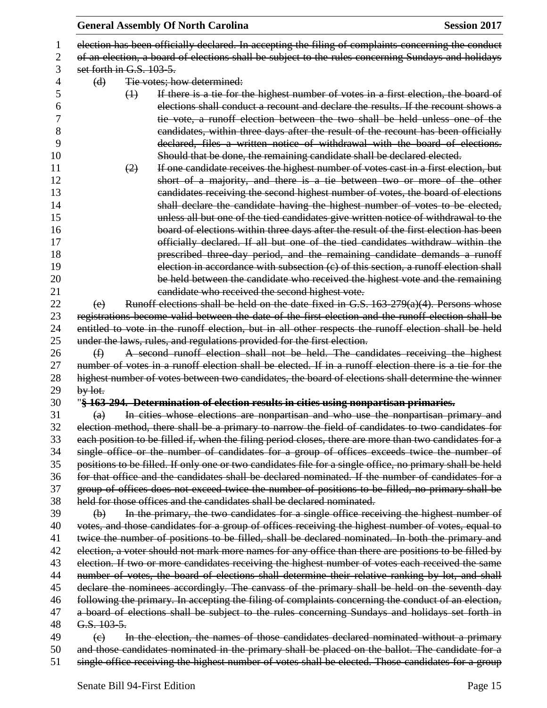|    |                           | <b>Session 2017</b><br><b>General Assembly Of North Carolina</b>                                         |
|----|---------------------------|----------------------------------------------------------------------------------------------------------|
| 1  |                           | election has been officially declared. In accepting the filing of complaints concerning the conduct      |
| 2  |                           | of an election, a board of elections shall be subject to the rules concerning Sundays and holidays       |
| 3  | set forth in G.S. 103-5.  |                                                                                                          |
| 4  | (d)                       | Tie votes; how determined:                                                                               |
| 5  | $\leftrightarrow$         | If there is a tie for the highest number of votes in a first election, the board of                      |
| 6  |                           | elections shall conduct a recount and declare the results. If the recount shows a                        |
| 7  |                           | tie vote, a runoff election between the two shall be held unless one of the                              |
| 8  |                           | eandidates, within three days after the result of the recount has been officially                        |
| 9  |                           | declared, files a written notice of withdrawal with the board of elections.                              |
| 10 |                           | Should that be done, the remaining candidate shall be declared elected.                                  |
| 11 | (2)                       | If one candidate receives the highest number of votes cast in a first election, but                      |
| 12 |                           | short of a majority, and there is a tie between two or more of the other                                 |
| 13 |                           | candidates receiving the second highest number of votes, the board of elections                          |
| 14 |                           | shall declare the candidate having the highest number of votes to be elected,                            |
| 15 |                           | unless all but one of the tied candidates give written notice of withdrawal to the                       |
| 16 |                           | board of elections within three days after the result of the first election has been                     |
| 17 |                           | officially declared. If all but one of the tied candidates withdraw within the                           |
| 18 |                           | prescribed three-day period, and the remaining candidate demands a runoff                                |
| 19 |                           | election in accordance with subsection (c) of this section, a runoff election shall                      |
| 20 |                           | be held between the candidate who received the highest vote and the remaining                            |
| 21 |                           | candidate who received the second highest vote.                                                          |
| 22 | (e)                       | Runoff elections shall be held on the date fixed in G.S. $163-279(a)(4)$ . Persons whose                 |
| 23 |                           | registrations become valid between the date of the first election and the runoff election shall be       |
| 24 |                           | entitled to vote in the runoff election, but in all other respects the runoff election shall be held     |
| 25 |                           | under the laws, rules, and regulations provided for the first election.                                  |
| 26 | $\bigoplus$               | A second runoff election shall not be held. The candidates receiving the highest                         |
| 27 |                           | number of votes in a runoff election shall be elected. If in a runoff election there is a tie for the    |
| 28 |                           | highest number of votes between two candidates, the board of elections shall determine the winner        |
| 29 | $by$ lot.                 |                                                                                                          |
| 30 |                           | "§ 163-294. Determination of election results in cities using nonpartisan primaries.                     |
| 31 | $\left(\mathrm{a}\right)$ | In cities whose elections are nonpartisan and who use the nonpartisan primary and                        |
| 32 |                           | election method, there shall be a primary to narrow the field of candidates to two candidates for        |
| 33 |                           | each position to be filled if, when the filing period closes, there are more than two candidates for a   |
| 34 |                           | single office or the number of candidates for a group of offices exceeds twice the number of             |
| 35 |                           | positions to be filled. If only one or two candidates file for a single office, no primary shall be held |
| 36 |                           | for that office and the candidates shall be declared nominated. If the number of candidates for a        |
| 37 |                           | group of offices does not exceed twice the number of positions to be filled, no primary shall be         |
| 38 |                           | held for those offices and the candidates shall be declared nominated.                                   |
| 39 | $\Theta$                  | In the primary, the two candidates for a single office receiving the highest number of                   |
| 40 |                           | votes, and those candidates for a group of offices receiving the highest number of votes, equal to       |
| 41 |                           | twice the number of positions to be filled, shall be declared nominated. In both the primary and         |
| 42 |                           | election, a voter should not mark more names for any office than there are positions to be filled by     |
| 43 |                           | election. If two or more candidates receiving the highest number of votes each received the same         |
| 44 |                           | number of votes, the board of elections shall determine their relative ranking by lot, and shall         |
| 45 |                           | declare the nominees accordingly. The canvass of the primary shall be held on the seventh day            |
| 46 |                           | following the primary. In accepting the filing of complaints concerning the conduct of an election,      |
| 47 |                           | a board of elections shall be subject to the rules concerning Sundays and holidays set forth in          |
| 48 | G.S. 103-5.               |                                                                                                          |
| 49 | $\Theta$                  | In the election, the names of those candidates declared nominated without a primary                      |
| 50 |                           | and those candidates nominated in the primary shall be placed on the ballot. The candidate for a         |
| 51 |                           | single office receiving the highest number of votes shall be elected. Those candidates for a group       |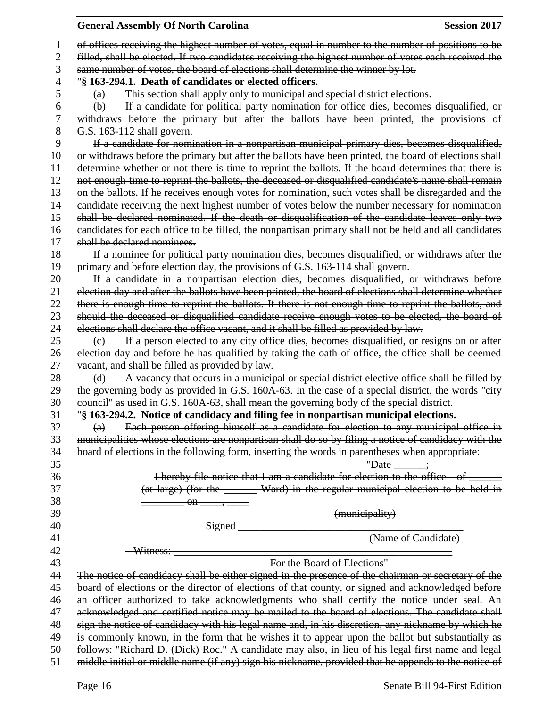|          | <b>General Assembly Of North Carolina</b><br><b>Session 2017</b>                                                                                                                                             |
|----------|--------------------------------------------------------------------------------------------------------------------------------------------------------------------------------------------------------------|
| 1        | of offices receiving the highest number of votes, equal in number to the number of positions to be                                                                                                           |
| 2        | filled, shall be elected. If two candidates receiving the highest number of votes each received the                                                                                                          |
| 3        | same number of votes, the board of elections shall determine the winner by lot.                                                                                                                              |
| 4        | "§ 163-294.1. Death of candidates or elected officers.                                                                                                                                                       |
| 5        | This section shall apply only to municipal and special district elections.<br>(a)                                                                                                                            |
| 6        | If a candidate for political party nomination for office dies, becomes disqualified, or<br>(b)                                                                                                               |
| 7        | withdraws before the primary but after the ballots have been printed, the provisions of                                                                                                                      |
| 8        | G.S. 163-112 shall govern.                                                                                                                                                                                   |
| 9        | If a candidate for nomination in a nonpartisan municipal primary dies, becomes disqualified,                                                                                                                 |
| 10       | or withdraws before the primary but after the ballots have been printed, the board of elections shall                                                                                                        |
| 11       | determine whether or not there is time to reprint the ballots. If the board determines that there is                                                                                                         |
| 12       | not enough time to reprint the ballots, the deceased or disqualified candidate's name shall remain                                                                                                           |
| 13       | on the ballots. If he receives enough votes for nomination, such votes shall be disregarded and the                                                                                                          |
| 14       | candidate receiving the next highest number of votes below the number necessary for nomination                                                                                                               |
| 15       | shall be declared nominated. If the death or disqualification of the candidate leaves only two                                                                                                               |
| 16       | candidates for each office to be filled, the nonpartisan primary shall not be held and all candidates                                                                                                        |
| 17       | shall be declared nominees.                                                                                                                                                                                  |
| 18       |                                                                                                                                                                                                              |
|          | If a nominee for political party nomination dies, becomes disqualified, or withdraws after the                                                                                                               |
| 19<br>20 | primary and before election day, the provisions of G.S. 163-114 shall govern.                                                                                                                                |
| 21       | If a candidate in a nonpartisan election dies, becomes disqualified, or withdraws before                                                                                                                     |
| 22       | election day and after the ballots have been printed, the board of elections shall determine whether<br>there is enough time to reprint the ballots. If there is not enough time to reprint the ballots, and |
| 23       | should the deceased or disqualified candidate receive enough votes to be elected, the board of                                                                                                               |
| 24       | elections shall declare the office vacant, and it shall be filled as provided by law.                                                                                                                        |
| 25       | If a person elected to any city office dies, becomes disqualified, or resigns on or after<br>(c)                                                                                                             |
| 26       | election day and before he has qualified by taking the oath of office, the office shall be deemed                                                                                                            |
| 27       | vacant, and shall be filled as provided by law.                                                                                                                                                              |
| 28       | A vacancy that occurs in a municipal or special district elective office shall be filled by<br>(d)                                                                                                           |
| 29       | the governing body as provided in G.S. 160A-63. In the case of a special district, the words "city                                                                                                           |
| 30       | council" as used in G.S. 160A-63, shall mean the governing body of the special district.                                                                                                                     |
| 31       | "§ 163-294.2. Notice of candidacy and filing fee in nonpartisan municipal elections.                                                                                                                         |
| 32       | Each person offering himself as a candidate for election to any municipal office in<br>(a)                                                                                                                   |
| 33       | municipalities whose elections are nonpartisan shall do so by filing a notice of candidacy with the                                                                                                          |
| 34       | board of elections in the following form, inserting the words in parentheses when appropriate:                                                                                                               |
| 35       | "Date $\frac{1}{1}$                                                                                                                                                                                          |
| 36       | I hereby file notice that I am a candidate for election to the office of _                                                                                                                                   |
| 37       | (at large) (for the ______ Ward) in the regular municipal election to be held in                                                                                                                             |
| 38       |                                                                                                                                                                                                              |
| 39       | (municipality)                                                                                                                                                                                               |
| 40       | Signed                                                                                                                                                                                                       |
| 41       | (Name of Candidate)                                                                                                                                                                                          |
| 42       | Witness:                                                                                                                                                                                                     |
| 43       | For the Board of Elections"                                                                                                                                                                                  |
| 44       | The notice of candidacy shall be either signed in the presence of the chairman or secretary of the                                                                                                           |
| 45       | board of elections or the director of elections of that county, or signed and acknowledged before                                                                                                            |
| 46       | an officer authorized to take acknowledgments who shall certify the notice under seal. An                                                                                                                    |
| 47       | acknowledged and certified notice may be mailed to the board of elections. The candidate shall                                                                                                               |
| 48       | sign the notice of candidacy with his legal name and, in his discretion, any nickname by which he                                                                                                            |
| 49       | is commonly known, in the form that he wishes it to appear upon the ballot but substantially as                                                                                                              |
| 50       | follows: "Richard D. (Dick) Roc." A candidate may also, in lieu of his legal first name and legal                                                                                                            |
| 51       | middle initial or middle name (if any) sign his nickname, provided that he appends to the notice of                                                                                                          |
|          |                                                                                                                                                                                                              |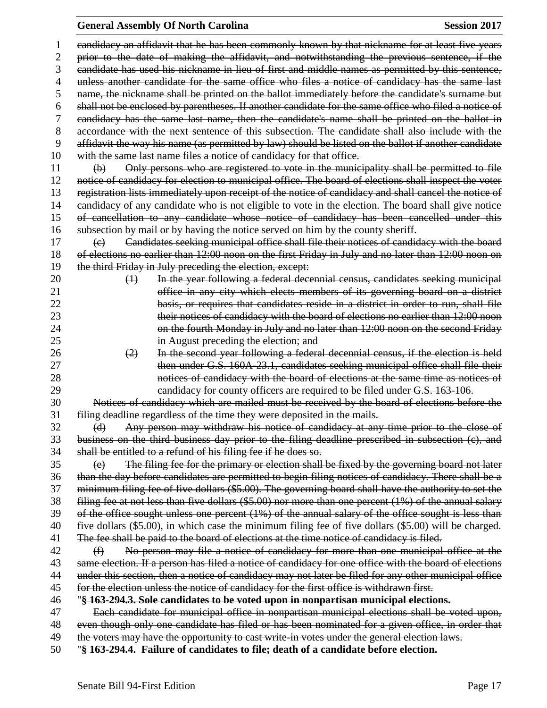# **General Assembly Of North Carolina Session 2017**

| 1  | eandidacy an affidavit that he has been commonly known by that nickname for at least five years                       |  |  |  |
|----|-----------------------------------------------------------------------------------------------------------------------|--|--|--|
| 2  | prior to the date of making the affidavit, and notwithstanding the previous sentence, if the                          |  |  |  |
| 3  | eandidate has used his nickname in lieu of first and middle names as permitted by this sentence,                      |  |  |  |
| 4  | unless another candidate for the same office who files a notice of candidacy has the same last                        |  |  |  |
| 5  | name, the nickname shall be printed on the ballot immediately before the candidate's surname but                      |  |  |  |
| 6  | shall not be enclosed by parentheses. If another candidate for the same office who filed a notice of                  |  |  |  |
| 7  | eandidacy has the same last name, then the candidate's name shall be printed on the ballot in                         |  |  |  |
| 8  | accordance with the next sentence of this subsection. The candidate shall also include with the                       |  |  |  |
| 9  | affidavit the way his name (as permitted by law) should be listed on the ballot if another candidate                  |  |  |  |
| 10 | with the same last name files a notice of candidacy for that office.                                                  |  |  |  |
| 11 | Only persons who are registered to vote in the municipality shall be permitted to file<br>$\bigoplus$                 |  |  |  |
| 12 | notice of candidacy for election to municipal office. The board of elections shall inspect the voter                  |  |  |  |
| 13 | registration lists immediately upon receipt of the notice of candidacy and shall cancel the notice of                 |  |  |  |
| 14 | eandidacy of any candidate who is not eligible to vote in the election. The board shall give notice                   |  |  |  |
| 15 | of cancellation to any candidate whose notice of candidacy has been cancelled under this                              |  |  |  |
| 16 | subsection by mail or by having the notice served on him by the county sheriff.                                       |  |  |  |
| 17 | Candidates seeking municipal office shall file their notices of candidacy with the board<br>$\left(\mathrm{e}\right)$ |  |  |  |
| 18 | of elections no earlier than 12:00 noon on the first Friday in July and no later than 12:00 noon on                   |  |  |  |
| 19 | the third Friday in July preceding the election, except:                                                              |  |  |  |
| 20 | In the year following a federal decennial census, candidates seeking municipal<br>$\leftrightarrow$                   |  |  |  |
| 21 | office in any city which elects members of its governing board on a district                                          |  |  |  |
| 22 | basis, or requires that candidates reside in a district in order to run, shall file                                   |  |  |  |
| 23 | their notices of candidacy with the board of elections no earlier than 12:00 noon                                     |  |  |  |
| 24 | on the fourth Monday in July and no later than 12:00 noon on the second Friday                                        |  |  |  |
| 25 | in August preceding the election; and                                                                                 |  |  |  |
| 26 | In the second year following a federal decennial census, if the election is held<br>(2)                               |  |  |  |
| 27 | then under G.S. 160A-23.1, candidates seeking municipal office shall file their                                       |  |  |  |
| 28 | notices of candidacy with the board of elections at the same time as notices of                                       |  |  |  |
| 29 | eandidacy for county officers are required to be filed under G.S. 163-106.                                            |  |  |  |
| 30 | Notices of candidacy which are mailed must be received by the board of elections before the                           |  |  |  |
| 31 | filing deadline regardless of the time they were deposited in the mails.                                              |  |  |  |
| 32 | Any person may withdraw his notice of candidacy at any time prior to the close of<br>(d)                              |  |  |  |
| 33 | business on the third business day prior to the filing deadline prescribed in subsection (c), and                     |  |  |  |
| 34 | shall be entitled to a refund of his filing fee if he does so.                                                        |  |  |  |
| 35 | The filing fee for the primary or election shall be fixed by the governing board not later<br>(e)                     |  |  |  |
| 36 | than the day before candidates are permitted to begin filing notices of candidacy. There shall be a                   |  |  |  |
| 37 | minimum filing fee of five dollars (\$5.00). The governing board shall have the authority to set the                  |  |  |  |
| 38 | filing fee at not less than five dollars (\$5.00) nor more than one percent (1%) of the annual salary                 |  |  |  |
| 39 | of the office sought unless one percent $(1%)$ of the annual salary of the office sought is less than                 |  |  |  |
| 40 | five dollars (\$5.00), in which case the minimum filing fee of five dollars (\$5.00) will be charged.                 |  |  |  |
| 41 | The fee shall be paid to the board of elections at the time notice of candidacy is filed.                             |  |  |  |
| 42 | No person may file a notice of candidacy for more than one municipal office at the<br>$\bigoplus$                     |  |  |  |
| 43 | same election. If a person has filed a notice of candidacy for one office with the board of elections                 |  |  |  |
| 44 | under this section, then a notice of candidacy may not later be filed for any other municipal office                  |  |  |  |
| 45 | for the election unless the notice of candidacy for the first office is withdrawn first.                              |  |  |  |
| 46 | "§ 163-294.3. Sole candidates to be voted upon in nonpartisan municipal elections.                                    |  |  |  |
| 47 | Each candidate for municipal office in nonpartisan municipal elections shall be voted upon,                           |  |  |  |
| 48 | even though only one candidate has filed or has been nominated for a given office, in order that                      |  |  |  |
| 49 | the voters may have the opportunity to cast write-in votes under the general election laws.                           |  |  |  |
| 50 | "§ 163-294.4. Failure of candidates to file; death of a candidate before election.                                    |  |  |  |
|    |                                                                                                                       |  |  |  |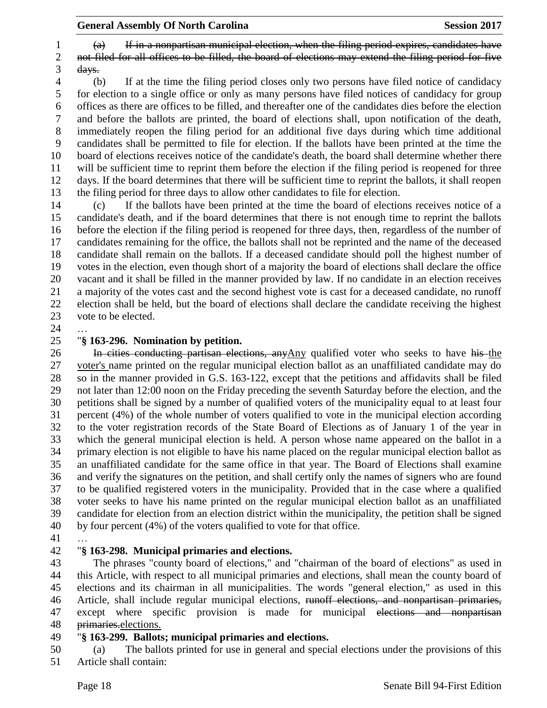(a) If in a nonpartisan municipal election, when the filing period expires, candidates have not filed for all offices to be filled, the board of elections may extend the filing period for five days.

 (b) If at the time the filing period closes only two persons have filed notice of candidacy for election to a single office or only as many persons have filed notices of candidacy for group offices as there are offices to be filled, and thereafter one of the candidates dies before the election and before the ballots are printed, the board of elections shall, upon notification of the death, immediately reopen the filing period for an additional five days during which time additional candidates shall be permitted to file for election. If the ballots have been printed at the time the board of elections receives notice of the candidate's death, the board shall determine whether there will be sufficient time to reprint them before the election if the filing period is reopened for three days. If the board determines that there will be sufficient time to reprint the ballots, it shall reopen the filing period for three days to allow other candidates to file for election.

 (c) If the ballots have been printed at the time the board of elections receives notice of a candidate's death, and if the board determines that there is not enough time to reprint the ballots before the election if the filing period is reopened for three days, then, regardless of the number of candidates remaining for the office, the ballots shall not be reprinted and the name of the deceased candidate shall remain on the ballots. If a deceased candidate should poll the highest number of votes in the election, even though short of a majority the board of elections shall declare the office vacant and it shall be filled in the manner provided by law. If no candidate in an election receives a majority of the votes cast and the second highest vote is cast for a deceased candidate, no runoff election shall be held, but the board of elections shall declare the candidate receiving the highest vote to be elected.

## "**§ 163-296. Nomination by petition.**

26 In cities conducting partisan elections, any  $\Delta$ ny qualified voter who seeks to have his the voter's name printed on the regular municipal election ballot as an unaffiliated candidate may do so in the manner provided in G.S. 163-122, except that the petitions and affidavits shall be filed not later than 12:00 noon on the Friday preceding the seventh Saturday before the election, and the petitions shall be signed by a number of qualified voters of the municipality equal to at least four percent (4%) of the whole number of voters qualified to vote in the municipal election according to the voter registration records of the State Board of Elections as of January 1 of the year in which the general municipal election is held. A person whose name appeared on the ballot in a primary election is not eligible to have his name placed on the regular municipal election ballot as an unaffiliated candidate for the same office in that year. The Board of Elections shall examine and verify the signatures on the petition, and shall certify only the names of signers who are found to be qualified registered voters in the municipality. Provided that in the case where a qualified voter seeks to have his name printed on the regular municipal election ballot as an unaffiliated candidate for election from an election district within the municipality, the petition shall be signed by four percent (4%) of the voters qualified to vote for that office.

…

## "**§ 163-298. Municipal primaries and elections.**

 The phrases "county board of elections," and "chairman of the board of elections" as used in this Article, with respect to all municipal primaries and elections, shall mean the county board of elections and its chairman in all municipalities. The words "general election," as used in this Article, shall include regular municipal elections, runoff elections, and nonpartisan primaries, 47 except where specific provision is made for municipal elections and nonpartisan primaries.elections.

### "**§ 163-299. Ballots; municipal primaries and elections.**

 (a) The ballots printed for use in general and special elections under the provisions of this Article shall contain: